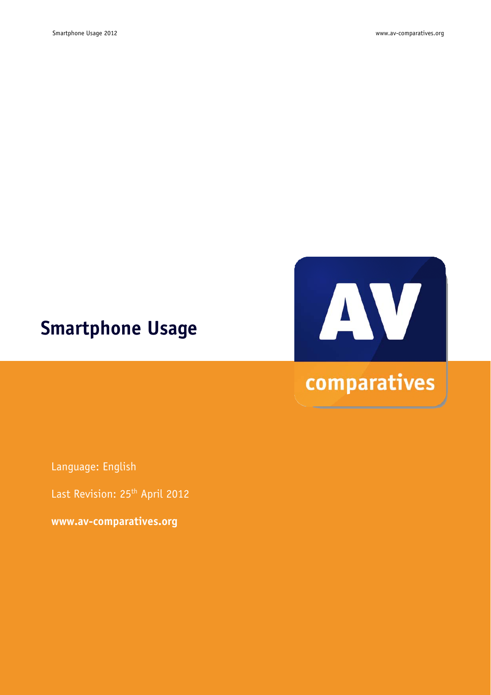# **Smartphone Usage**



Language: English

Last Revision: 25<sup>th</sup> April 2012

**www.av-comparatives.org**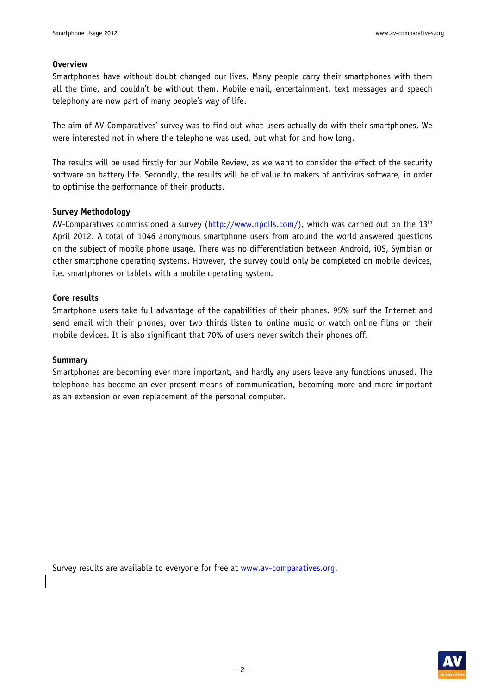#### **Overview**

Smartphones have without doubt changed our lives. Many people carry their smartphones with them all the time, and couldn't be without them. Mobile email, entertainment, text messages and speech telephony are now part of many people's way of life.

The aim of AV-Comparatives' survey was to find out what users actually do with their smartphones. We were interested not in where the telephone was used, but what for and how long.

The results will be used firstly for our Mobile Review, as we want to consider the effect of the security software on battery life. Secondly, the results will be of value to makers of antivirus software, in order to optimise the performance of their products.

#### **Survey Methodology**

AV-Comparatives commissioned a survey (http://www.npolls.com/), which was carried out on the 13<sup>th</sup> April 2012. A total of 1046 anonymous smartphone users from around the world answered questions on the subject of mobile phone usage. There was no differentiation between Android, iOS, Symbian or other smartphone operating systems. However, the survey could only be completed on mobile devices, i.e. smartphones or tablets with a mobile operating system.

#### **Core results**

Smartphone users take full advantage of the capabilities of their phones. 95% surf the Internet and send email with their phones, over two thirds listen to online music or watch online films on their mobile devices. It is also significant that 70% of users never switch their phones off.

#### **Summary**

Smartphones are becoming ever more important, and hardly any users leave any functions unused. The telephone has become an ever-present means of communication, becoming more and more important as an extension or even replacement of the personal computer.

Survey results are available to everyone for free at www.av-comparatives.org.

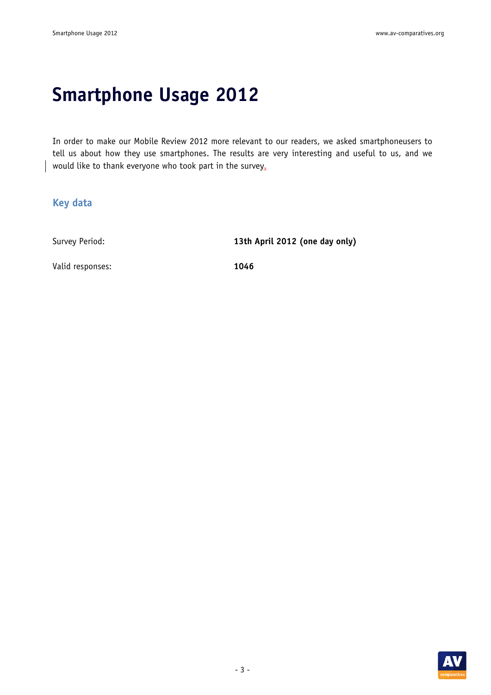# **Smartphone Usage 2012**

In order to make our Mobile Review 2012 more relevant to our readers, we asked smartphoneusers to tell us about how they use smartphones. The results are very interesting and useful to us, and we would like to thank everyone who took part in the survey.

#### **Key data**

Survey Period: **13th April 2012 (one day only)** 

Valid responses: **1046** 

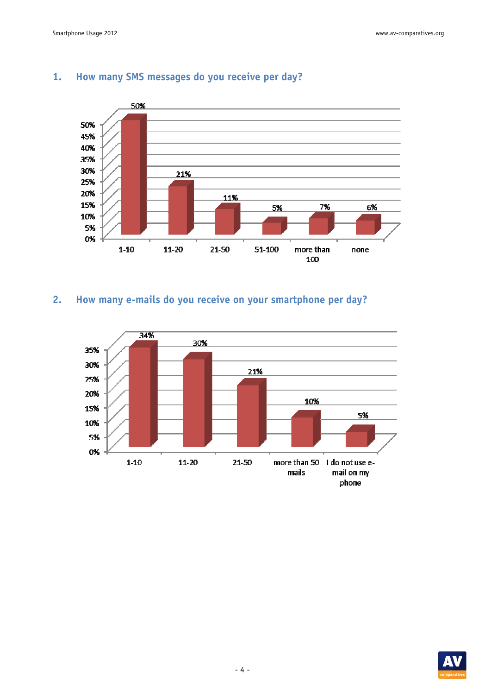

#### **1. How many SMS messages do you receive per day?**

## **2. How many e-mails do you receive on your smartphone per day?**



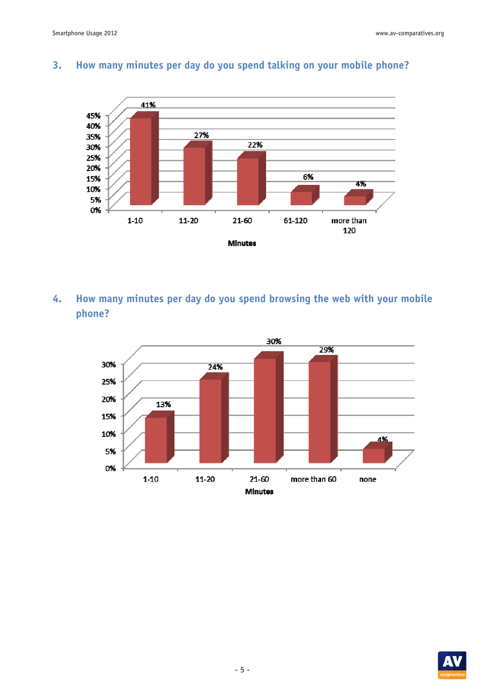

# **3. How many minutes per day do you spend talking on your mobile phone?**

**4. How many minutes per day do you spend browsing the web with your mobile phone?** 



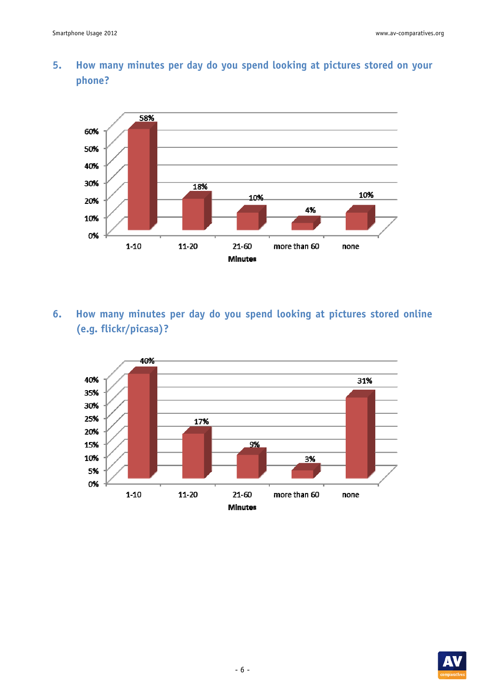## **5. How many minutes per day do you spend looking at pictures stored on your phone?**



**6. How many minutes per day do you spend looking at pictures stored online (e.g. flickr/picasa)?** 



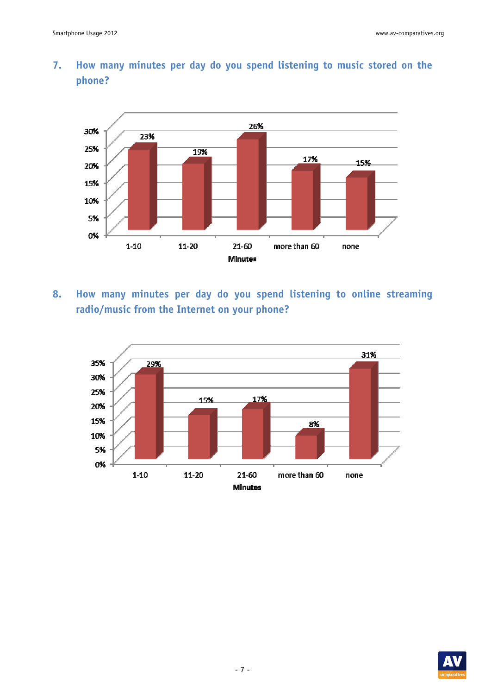

## **7. How many minutes per day do you spend listening to music stored on the phone?**

**8. How many minutes per day do you spend listening to online streaming radio/music from the Internet on your phone?** 



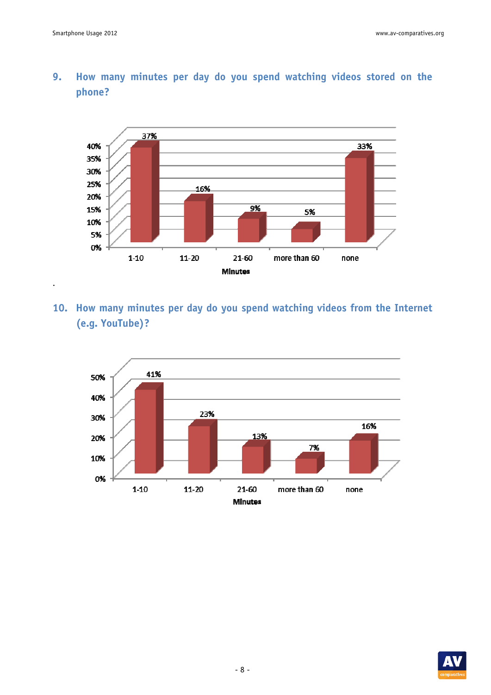.



## **9. How many minutes per day do you spend watching videos stored on the phone?**

**10. How many minutes per day do you spend watching videos from the Internet (e.g. YouTube)?** 



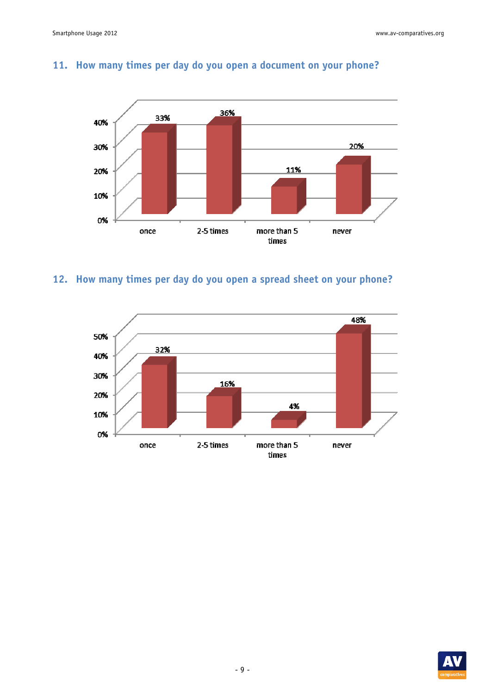

## **11. How many times per day do you open a document on your phone?**

# **12. How many times per day do you open a spread sheet on your phone?**



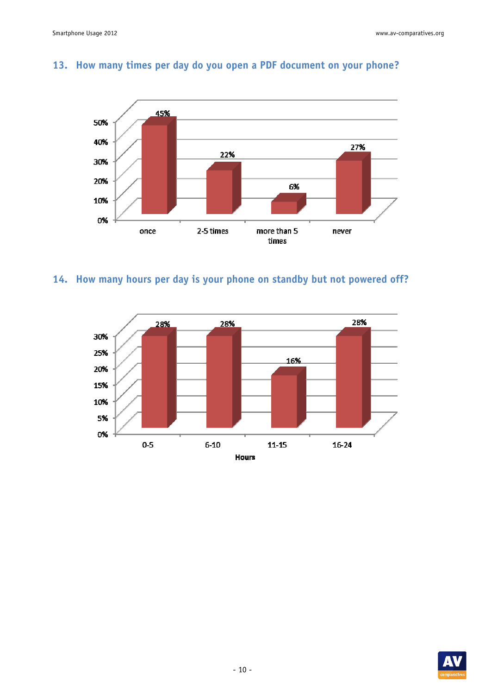

## **13. How many times per day do you open a PDF document on your phone?**

# **14. How many hours per day is your phone on standby but not powered off?**



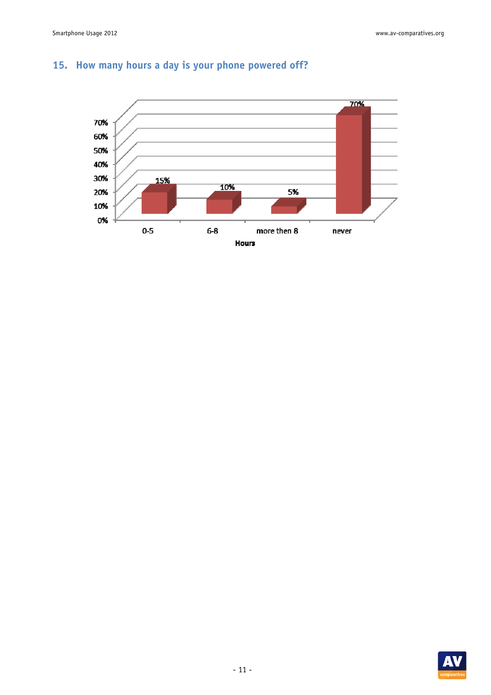

# **15. How many hours a day is your phone powered off?**